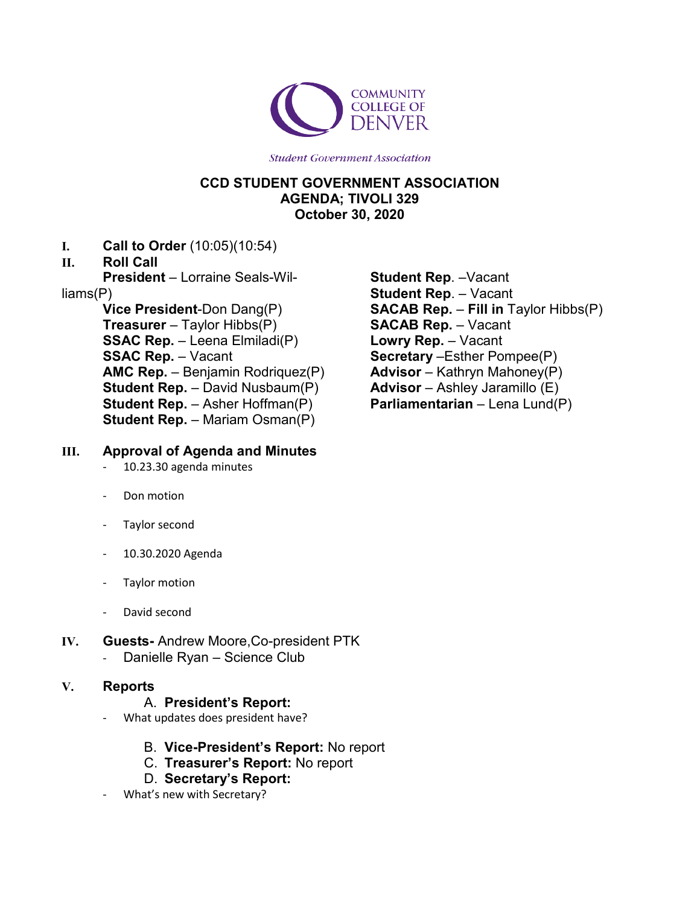

**Student Government Association** 

## **CCD STUDENT GOVERNMENT ASSOCIATION AGENDA; TIVOLI 329 October 30, 2020**

- **I. Call to Order** (10:05)(10:54)
- **II. Roll Call**

**President** – Lorraine Seals-Wil-

liams(P)

**Vice President**-Don Dang(P) **Treasurer** – Taylor Hibbs(P) **SSAC Rep.** – Leena Elmiladi(P) **SSAC Rep.** – Vacant **AMC Rep.** – Benjamin Rodriquez(P) **Student Rep.** – David Nusbaum(P) **Student Rep.** – Asher Hoffman(P) **Student Rep.** – Mariam Osman(P)

## **III. Approval of Agenda and Minutes**

- 10.23.30 agenda minutes
- Don motion
- Taylor second
- 10.30.2020 Agenda
- Taylor motion
- David second
- **IV. Guests-** Andrew Moore,Co-president PTK Danielle Ryan - Science Club

## **V. Reports**

## A. **President's Report:**

- What updates does president have?
	- B. **Vice-President's Report:** No report
	- C. **Treasurer's Report:** No report
	- D. **Secretary's Report:**
- What's new with Secretary?

**Student Rep**. –Vacant **Student Rep**. – Vacant **SACAB Rep.** – **Fill in** Taylor Hibbs(P) **SACAB Rep.** – Vacant **Lowry Rep.** – Vacant **Secretary** –Esther Pompee(P) **Advisor** – Kathryn Mahoney(P) **Advisor** – Ashley Jaramillo (E) **Parliamentarian** – Lena Lund(P)